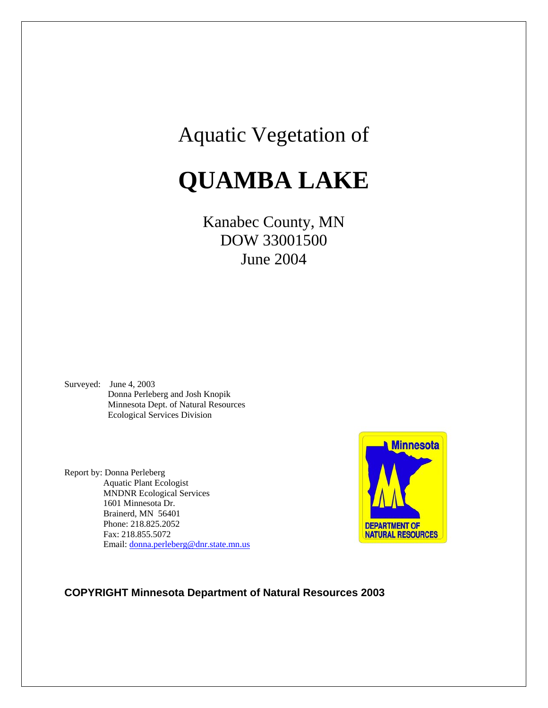## Aquatic Vegetation of

# **QUAMBA LAKE**

### Kanabec County, MN DOW 33001500 June 2004

Surveyed: June 4, 2003 Donna Perleberg and Josh Knopik Minnesota Dept. of Natural Resources Ecological Services Division

Report by: Donna Perleberg Aquatic Plant Ecologist MNDNR Ecological Services 1601 Minnesota Dr. Brainerd, MN 56401 Phone: 218.825.2052 Fax: 218.855.5072 Email: [donna.perleberg@dnr.state.mn.us](mailto:donna.perleberg@dnr.state.mn.us)

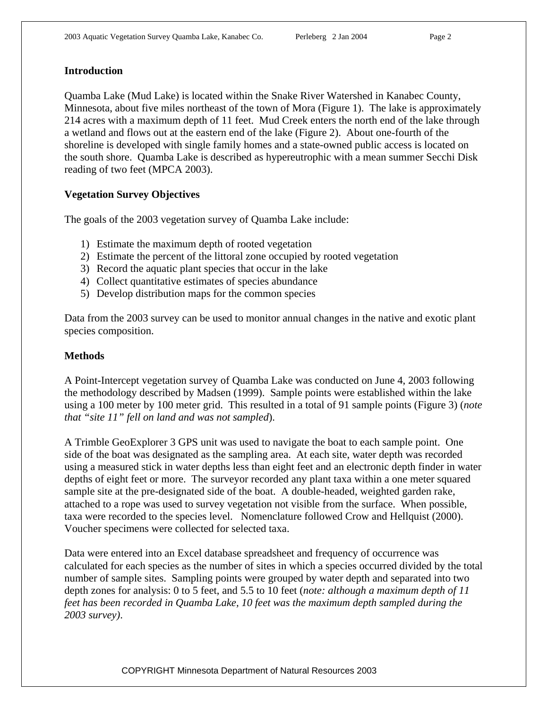#### **Introduction**

Quamba Lake (Mud Lake) is located within the Snake River Watershed in Kanabec County, Minnesota, about five miles northeast of the town of Mora (Figure 1). The lake is approximately 214 acres with a maximum depth of 11 feet. Mud Creek enters the north end of the lake through a wetland and flows out at the eastern end of the lake (Figure 2). About one-fourth of the shoreline is developed with single family homes and a state-owned public access is located on the south shore. Quamba Lake is described as hypereutrophic with a mean summer Secchi Disk reading of two feet (MPCA 2003).

#### **Vegetation Survey Objectives**

The goals of the 2003 vegetation survey of Quamba Lake include:

- 1) Estimate the maximum depth of rooted vegetation
- 2) Estimate the percent of the littoral zone occupied by rooted vegetation
- 3) Record the aquatic plant species that occur in the lake
- 4) Collect quantitative estimates of species abundance
- 5) Develop distribution maps for the common species

Data from the 2003 survey can be used to monitor annual changes in the native and exotic plant species composition.

#### **Methods**

A Point-Intercept vegetation survey of Quamba Lake was conducted on June 4, 2003 following the methodology described by Madsen (1999). Sample points were established within the lake using a 100 meter by 100 meter grid. This resulted in a total of 91 sample points (Figure 3) (*note that "site 11" fell on land and was not sampled*).

A Trimble GeoExplorer 3 GPS unit was used to navigate the boat to each sample point. One side of the boat was designated as the sampling area. At each site, water depth was recorded using a measured stick in water depths less than eight feet and an electronic depth finder in water depths of eight feet or more. The surveyor recorded any plant taxa within a one meter squared sample site at the pre-designated side of the boat. A double-headed, weighted garden rake, attached to a rope was used to survey vegetation not visible from the surface. When possible, taxa were recorded to the species level. Nomenclature followed Crow and Hellquist (2000). Voucher specimens were collected for selected taxa.

Data were entered into an Excel database spreadsheet and frequency of occurrence was calculated for each species as the number of sites in which a species occurred divided by the total number of sample sites. Sampling points were grouped by water depth and separated into two depth zones for analysis: 0 to 5 feet, and 5.5 to 10 feet (*note: although a maximum depth of 11 feet has been recorded in Quamba Lake, 10 feet was the maximum depth sampled during the 2003 survey)*.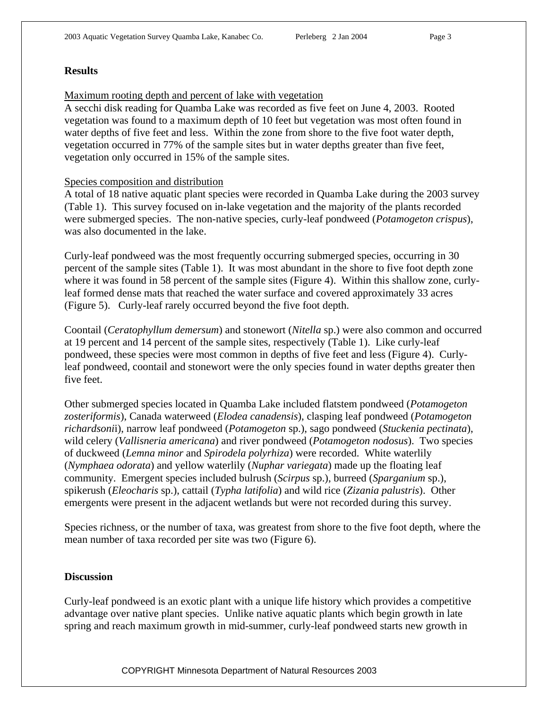#### **Results**

#### Maximum rooting depth and percent of lake with vegetation

A secchi disk reading for Quamba Lake was recorded as five feet on June 4, 2003. Rooted vegetation was found to a maximum depth of 10 feet but vegetation was most often found in water depths of five feet and less. Within the zone from shore to the five foot water depth, vegetation occurred in 77% of the sample sites but in water depths greater than five feet, vegetation only occurred in 15% of the sample sites.

#### Species composition and distribution

A total of 18 native aquatic plant species were recorded in Quamba Lake during the 2003 survey (Table 1). This survey focused on in-lake vegetation and the majority of the plants recorded were submerged species. The non-native species, curly-leaf pondweed (*Potamogeton crispus*), was also documented in the lake.

Curly-leaf pondweed was the most frequently occurring submerged species, occurring in 30 percent of the sample sites (Table 1). It was most abundant in the shore to five foot depth zone where it was found in 58 percent of the sample sites (Figure 4). Within this shallow zone, curlyleaf formed dense mats that reached the water surface and covered approximately 33 acres (Figure 5). Curly-leaf rarely occurred beyond the five foot depth.

Coontail (*Ceratophyllum demersum*) and stonewort (*Nitella* sp.) were also common and occurred at 19 percent and 14 percent of the sample sites, respectively (Table 1). Like curly-leaf pondweed, these species were most common in depths of five feet and less (Figure 4). Curlyleaf pondweed, coontail and stonewort were the only species found in water depths greater then five feet.

Other submerged species located in Quamba Lake included flatstem pondweed (*Potamogeton zosteriformis*), Canada waterweed (*Elodea canadensis*), clasping leaf pondweed (*Potamogeton richardsoni*i), narrow leaf pondweed (*Potamogeton* sp.), sago pondweed (*Stuckenia pectinata*), wild celery (*Vallisneria americana*) and river pondweed (*Potamogeton nodosus*). Two species of duckweed (*Lemna minor* and *Spirodela polyrhiza*) were recorded. White waterlily (*Nymphaea odorata*) and yellow waterlily (*Nuphar variegata*) made up the floating leaf community. Emergent species included bulrush (*Scirpus* sp.), burreed (*Sparganium* sp.), spikerush (*Eleocharis* sp.), cattail (*Typha latifolia*) and wild rice (*Zizania palustris*). Other emergents were present in the adjacent wetlands but were not recorded during this survey.

Species richness, or the number of taxa, was greatest from shore to the five foot depth, where the mean number of taxa recorded per site was two (Figure 6).

#### **Discussion**

Curly-leaf pondweed is an exotic plant with a unique life history which provides a competitive advantage over native plant species. Unlike native aquatic plants which begin growth in late spring and reach maximum growth in mid-summer, curly-leaf pondweed starts new growth in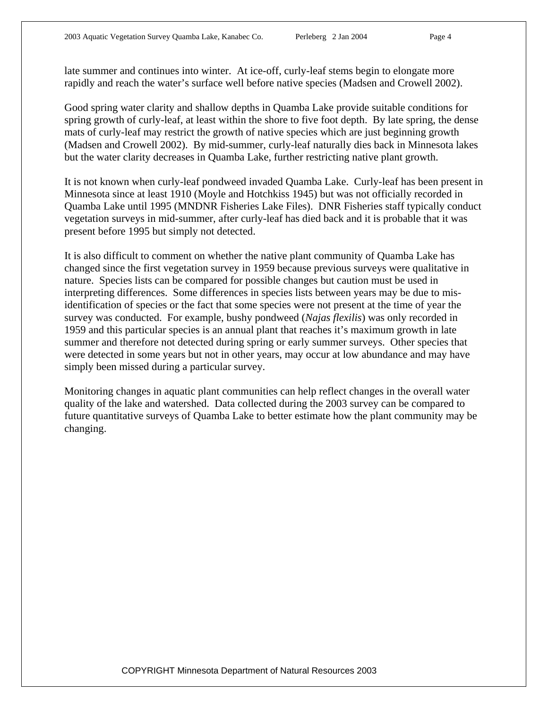late summer and continues into winter. At ice-off, curly-leaf stems begin to elongate more rapidly and reach the water's surface well before native species (Madsen and Crowell 2002).

Good spring water clarity and shallow depths in Quamba Lake provide suitable conditions for spring growth of curly-leaf, at least within the shore to five foot depth. By late spring, the dense mats of curly-leaf may restrict the growth of native species which are just beginning growth (Madsen and Crowell 2002). By mid-summer, curly-leaf naturally dies back in Minnesota lakes but the water clarity decreases in Quamba Lake, further restricting native plant growth.

It is not known when curly-leaf pondweed invaded Quamba Lake. Curly-leaf has been present in Minnesota since at least 1910 (Moyle and Hotchkiss 1945) but was not officially recorded in Quamba Lake until 1995 (MNDNR Fisheries Lake Files). DNR Fisheries staff typically conduct vegetation surveys in mid-summer, after curly-leaf has died back and it is probable that it was present before 1995 but simply not detected.

It is also difficult to comment on whether the native plant community of Quamba Lake has changed since the first vegetation survey in 1959 because previous surveys were qualitative in nature. Species lists can be compared for possible changes but caution must be used in interpreting differences. Some differences in species lists between years may be due to misidentification of species or the fact that some species were not present at the time of year the survey was conducted. For example, bushy pondweed (*Najas flexilis*) was only recorded in 1959 and this particular species is an annual plant that reaches it's maximum growth in late summer and therefore not detected during spring or early summer surveys. Other species that were detected in some years but not in other years, may occur at low abundance and may have simply been missed during a particular survey.

Monitoring changes in aquatic plant communities can help reflect changes in the overall water quality of the lake and watershed. Data collected during the 2003 survey can be compared to future quantitative surveys of Quamba Lake to better estimate how the plant community may be changing.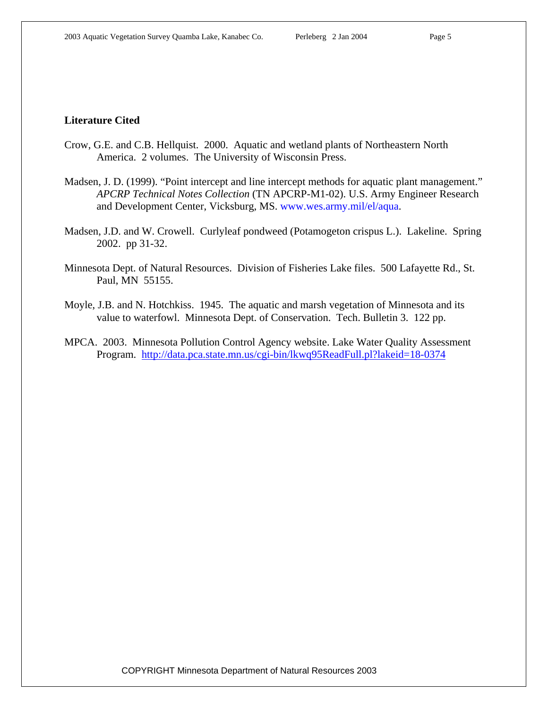#### **Literature Cited**

- Crow, G.E. and C.B. Hellquist. 2000. Aquatic and wetland plants of Northeastern North America. 2 volumes. The University of Wisconsin Press.
- Madsen, J. D. (1999). "Point intercept and line intercept methods for aquatic plant management." *APCRP Technical Notes Collection* (TN APCRP-M1-02). U.S. Army Engineer Research and Development Center, Vicksburg, MS. www.wes.army.mil/el/aqua.
- Madsen, J.D. and W. Crowell. Curlyleaf pondweed (Potamogeton crispus L.). Lakeline. Spring 2002. pp 31-32.
- Minnesota Dept. of Natural Resources. Division of Fisheries Lake files. 500 Lafayette Rd., St. Paul, MN 55155.
- Moyle, J.B. and N. Hotchkiss. 1945. The aquatic and marsh vegetation of Minnesota and its value to waterfowl. Minnesota Dept. of Conservation. Tech. Bulletin 3. 122 pp.
- MPCA. 2003. Minnesota Pollution Control Agency website. Lake Water Quality Assessment Program. <http://data.pca.state.mn.us/cgi-bin/lkwq95ReadFull.pl?lakeid=18-0374>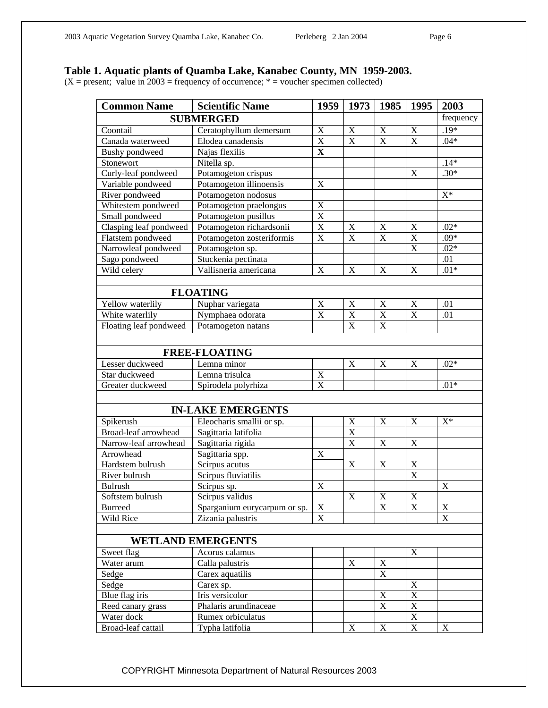#### **Table 1. Aquatic plants of Quamba Lake, Kanabec County, MN 1959-2003.**

 $(X = present; value in 2003 = frequency of occurrence; * =voucher specimen collected)$ 

| <b>Common Name</b>       | <b>Scientific Name</b>       | 1959                      | 1973                      | 1985                      | 1995                    | 2003           |
|--------------------------|------------------------------|---------------------------|---------------------------|---------------------------|-------------------------|----------------|
| <b>SUBMERGED</b>         |                              |                           |                           |                           |                         | frequency      |
| Coontail                 | Ceratophyllum demersum       | $\mathbf X$               | $\mathbf X$               | $\boldsymbol{\mathrm{X}}$ | $\mathbf X$             | $.19*$         |
| Canada waterweed         | Elodea canadensis            | $\overline{\text{X}}$     | $\overline{\mathbf{X}}$   | $\overline{\mathrm{X}}$   | X                       | $.04*$         |
| Bushy pondweed           | Najas flexilis               | $\mathbf X$               |                           |                           |                         |                |
| Stonewort                | Nitella sp.                  |                           |                           |                           |                         | $.14*$         |
| Curly-leaf pondweed      | Potamogeton crispus          |                           |                           |                           | X                       | $.30*$         |
| Variable pondweed        | Potamogeton illinoensis      | X                         |                           |                           |                         |                |
| River pondweed           | Potamogeton nodosus          |                           |                           |                           |                         | $X^*$          |
| Whitestem pondweed       | Potamogeton praelongus       | $\mathbf X$               |                           |                           |                         |                |
| Small pondweed           | Potamogeton pusillus         | $\overline{X}$            |                           |                           |                         |                |
| Clasping leaf pondweed   | Potamogeton richardsonii     | $\overline{\text{X}}$     | $\boldsymbol{\mathrm{X}}$ | $\boldsymbol{\mathrm{X}}$ | X                       | $.02*$         |
| Flatstem pondweed        | Potamogeton zosteriformis    | X                         | $\mathbf X$               | $\mathbf X$               | $\overline{\mathbf{X}}$ | $.09*$         |
| Narrowleaf pondweed      | Potamogeton sp.              |                           |                           |                           | X                       | $.02*$         |
| Sago pondweed            | Stuckenia pectinata          |                           |                           |                           |                         | .01            |
| Wild celery              | Vallisneria americana        | X                         | X                         | X                         | X                       | $.01*$         |
|                          |                              |                           |                           |                           |                         |                |
| <b>FLOATING</b>          |                              |                           |                           |                           |                         |                |
| Yellow waterlily         | Nuphar variegata             | X                         | X                         | X                         | X                       | .01            |
| White waterlily          | Nymphaea odorata             | X                         | $\mathbf X$               | $\mathbf X$               | X                       | .01            |
| Floating leaf pondweed   | Potamogeton natans           |                           | X                         | $\mathbf X$               |                         |                |
|                          |                              |                           |                           |                           |                         |                |
| <b>FREE-FLOATING</b>     |                              |                           |                           |                           |                         |                |
| Lesser duckweed          | Lemna minor                  |                           | $\boldsymbol{\mathrm{X}}$ | $\boldsymbol{\mathrm{X}}$ | $\mathbf X$             | $.02*$         |
| Star duckweed            | Lemna trisulca               | $\mathbf X$               |                           |                           |                         |                |
| Greater duckweed         | Spirodela polyrhiza          | $\mathbf X$               |                           |                           |                         | $.01*$         |
|                          |                              |                           |                           |                           |                         |                |
|                          |                              |                           |                           |                           |                         |                |
| <b>IN-LAKE EMERGENTS</b> |                              |                           |                           |                           |                         |                |
| Spikerush                | Eleocharis smallii or sp.    |                           | $\mathbf X$               | $\mathbf X$               | $\mathbf X$             | $\mathbf{X}^*$ |
| Broad-leaf arrowhead     | Sagittaria latifolia         |                           | $\overline{X}$            |                           |                         |                |
| Narrow-leaf arrowhead    | Sagittaria rigida            |                           | $\mathbf X$               | $\boldsymbol{\mathrm{X}}$ | X                       |                |
| Arrowhead                | Sagittaria spp.              | $\boldsymbol{\mathrm{X}}$ |                           |                           |                         |                |
| Hardstem bulrush         | Scirpus acutus               |                           | $\boldsymbol{\mathrm{X}}$ | $\mathbf X$               | $\mathbf X$             |                |
| River bulrush            | Scirpus fluviatilis          |                           |                           |                           | X                       |                |
| <b>Bulrush</b>           | Scirpus sp.                  | X                         |                           |                           |                         | X              |
| Softstem bulrush         | Scirpus validus              |                           | X                         | X                         | X                       |                |
| <b>Burreed</b>           | Sparganium eurycarpum or sp. | X                         |                           | $\mathbf X$               | $\mathbf X$             | $\mathbf X$    |
| Wild Rice                | Zizania palustris            | $\mathbf X$               |                           |                           |                         | $\mathbf X$    |
| <b>WETLAND EMERGENTS</b> |                              |                           |                           |                           |                         |                |
|                          |                              |                           |                           |                           |                         |                |
| Sweet flag               | Acorus calamus               |                           |                           |                           | $\mathbf X$             |                |
| Water arum               | Calla palustris              |                           | $\mathbf X$               | $\mathbf X$               |                         |                |
| Sedge                    | Carex aquatilis              |                           |                           | $\mathbf X$               |                         |                |
| Sedge                    | Carex sp.                    |                           |                           |                           | $\mathbf X$             |                |
| Blue flag iris           | Iris versicolor              |                           |                           | $\mathbf X$               | $\mathbf X$             |                |
| Reed canary grass        | Phalaris arundinaceae        |                           |                           | $\mathbf X$               | $\mathbf X$             |                |
| Water dock               | Rumex orbiculatus            |                           |                           |                           | $\mathbf X$             |                |
| Broad-leaf cattail       | Typha latifolia              |                           | $\mathbf X$               | $\mathbf X$               | $\mathbf X$             | X              |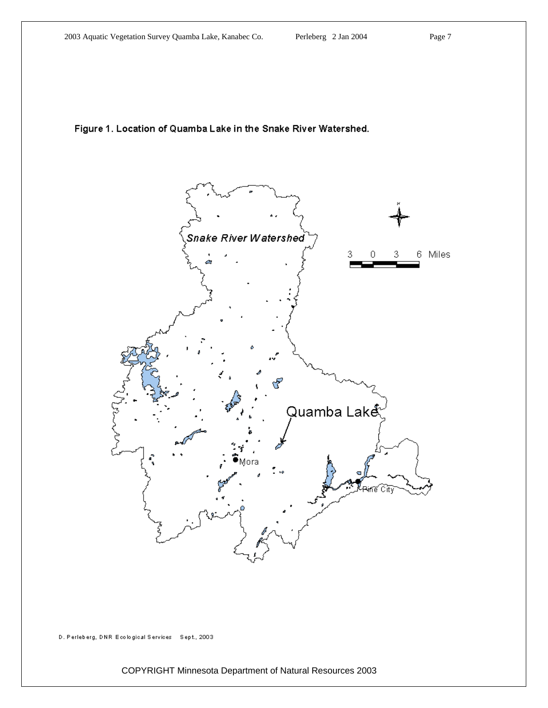#### Figure 1. Location of Quamba Lake in the Snake River Watershed.



D. Perleberg, DNR Ecological Services Sept., 2003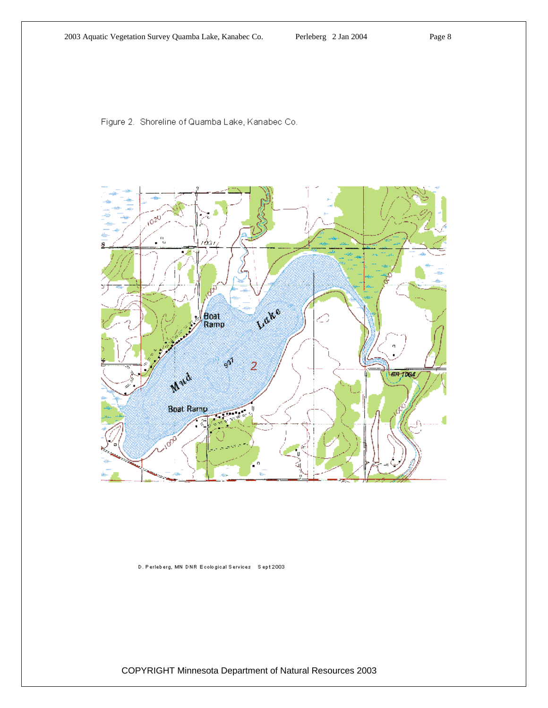Figure 2. Shoreline of Quamba Lake, Kanabec Co.



D. Perleberg, MN DNR Ecological Services Sept 2003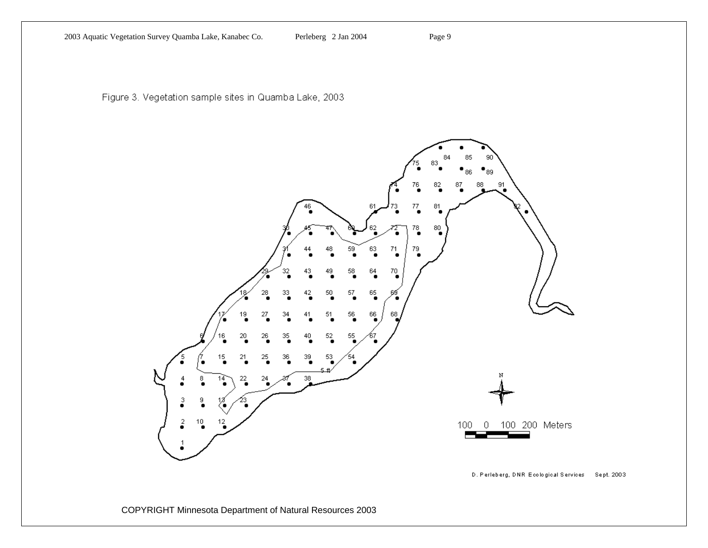Figure 3. Vegetation sample sites in Quamba Lake, 2003

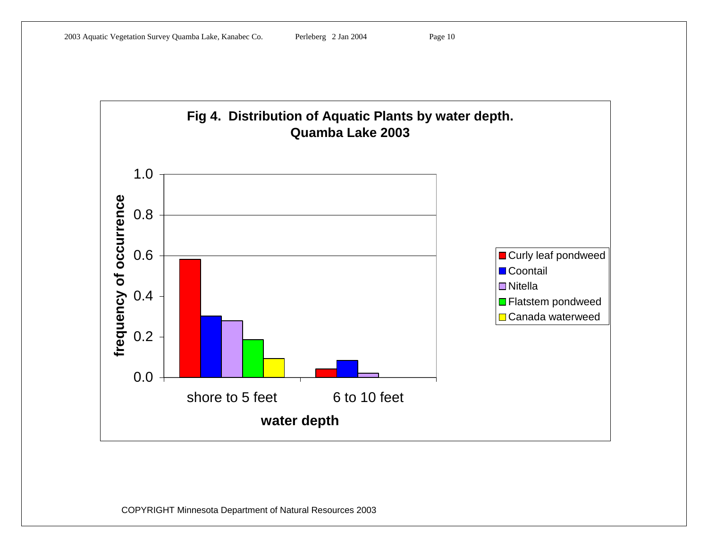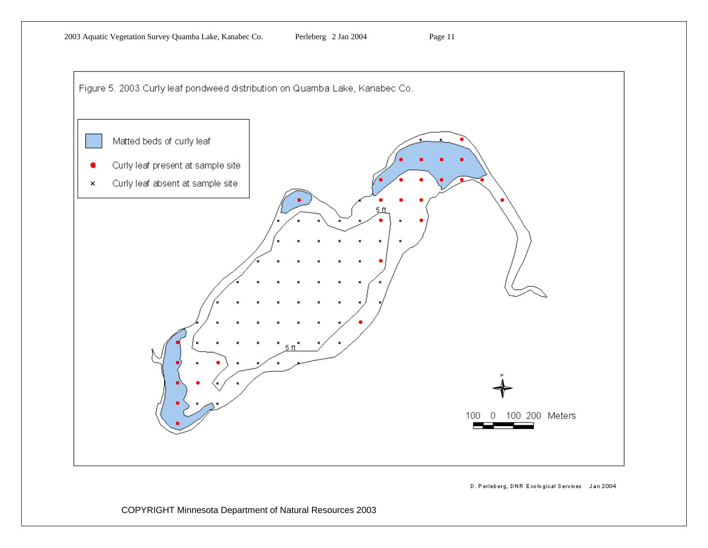

D. Perleberg, DNR Ecological Services Jan 2004